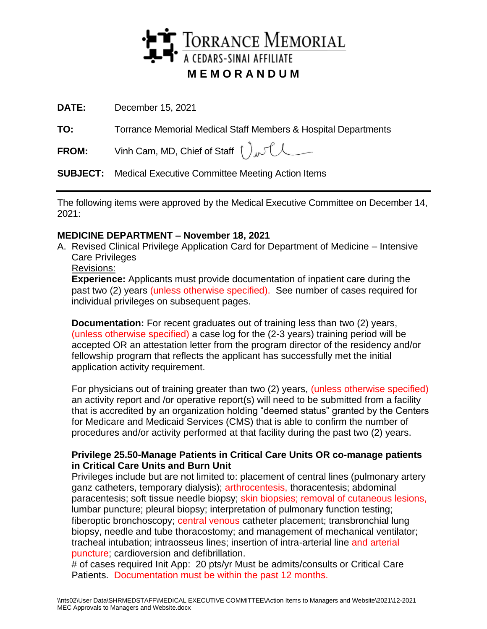

**DATE:** December 15, 2021

**TO:** Torrance Memorial Medical Staff Members & Hospital Departments

**FROM:** Vinh Cam, MD, Chief of Staff  $\int_{\mathcal{W}}\int_{\mathcal{W}}$ 

**SUBJECT:** Medical Executive Committee Meeting Action Items

The following items were approved by the Medical Executive Committee on December 14, 2021:

# **MEDICINE DEPARTMENT – November 18, 2021**

- A. Revised Clinical Privilege Application Card for Department of Medicine Intensive Care Privileges
	- Revisions:

**Experience:** Applicants must provide documentation of inpatient care during the past two (2) years (unless otherwise specified). See number of cases required for individual privileges on subsequent pages.

**Documentation:** For recent graduates out of training less than two (2) years, (unless otherwise specified) a case log for the (2-3 years) training period will be accepted OR an attestation letter from the program director of the residency and/or fellowship program that reflects the applicant has successfully met the initial application activity requirement.

For physicians out of training greater than two (2) years, (unless otherwise specified) an activity report and /or operative report(s) will need to be submitted from a facility that is accredited by an organization holding "deemed status" granted by the Centers for Medicare and Medicaid Services (CMS) that is able to confirm the number of procedures and/or activity performed at that facility during the past two (2) years.

## **Privilege 25.50-Manage Patients in Critical Care Units OR co-manage patients in Critical Care Units and Burn Unit**

Privileges include but are not limited to: placement of central lines (pulmonary artery ganz catheters, temporary dialysis); arthrocentesis, thoracentesis; abdominal paracentesis; soft tissue needle biopsy; skin biopsies; removal of cutaneous lesions, lumbar puncture; pleural biopsy; interpretation of pulmonary function testing; fiberoptic bronchoscopy; central venous catheter placement; transbronchial lung biopsy, needle and tube thoracostomy; and management of mechanical ventilator; tracheal intubation; intraosseus lines; insertion of intra-arterial line and arterial puncture; cardioversion and defibrillation.

# of cases required Init App: 20 pts/yr Must be admits/consults or Critical Care Patients. Documentation must be within the past 12 months.